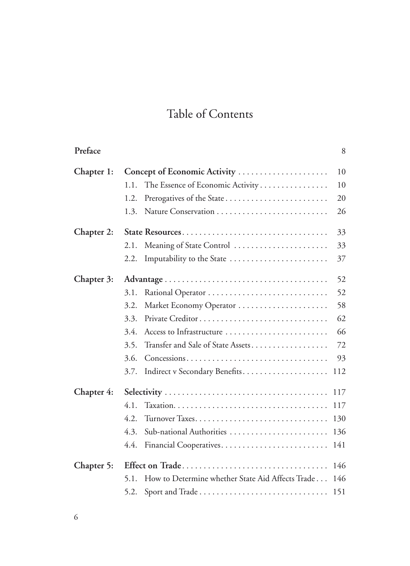## Table of Contents

| Preface    |                                                          | 8   |
|------------|----------------------------------------------------------|-----|
| Chapter 1: | Concept of Economic Activity                             | 10  |
|            | The Essence of Economic Activity<br>1.1.                 | 10  |
|            | Prerogatives of the State<br>1.2.                        | 20  |
|            | 1.3.                                                     | 26  |
| Chapter 2: | State Resources                                          | 33  |
|            | Meaning of State Control<br>2.1.                         | 33  |
|            | Imputability to the State<br>2.2.                        | 37  |
| Chapter 3: |                                                          | 52  |
|            | 3.1.                                                     | 52  |
|            | 3.2.<br>Market Economy Operator                          | 58  |
|            | 3.3.                                                     | 62  |
|            | 3.4.<br>Access to Infrastructure                         | 66  |
|            | Transfer and Sale of State Assets<br>3.5.                | 72  |
|            | 3.6.                                                     | 93  |
|            | Indirect v Secondary Benefits<br>3.7.                    | 112 |
| Chapter 4: |                                                          | 117 |
|            | 4.1.                                                     | 117 |
|            | 4.2.                                                     | 130 |
|            | 4.3.<br>Sub-national Authorities                         | 136 |
|            | 4.4.                                                     | 141 |
| Chapter 5: | Effect on Trade                                          | 146 |
|            | How to Determine whether State Aid Affects Trade<br>5.1. | 146 |
|            | 5.2.                                                     |     |